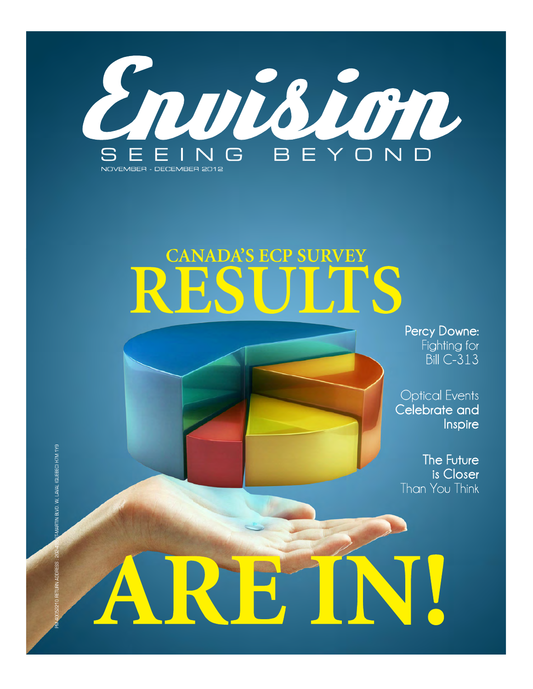

## **CANADA'S ECP SURVEY**

Percy Downe: Fighting for **Bill C-313** 

**Optical Events** Celebrate and Inspire

The Future is Closer Than You Think

BLVD. W, LAVAL (QUEBEC) H7M 1Y9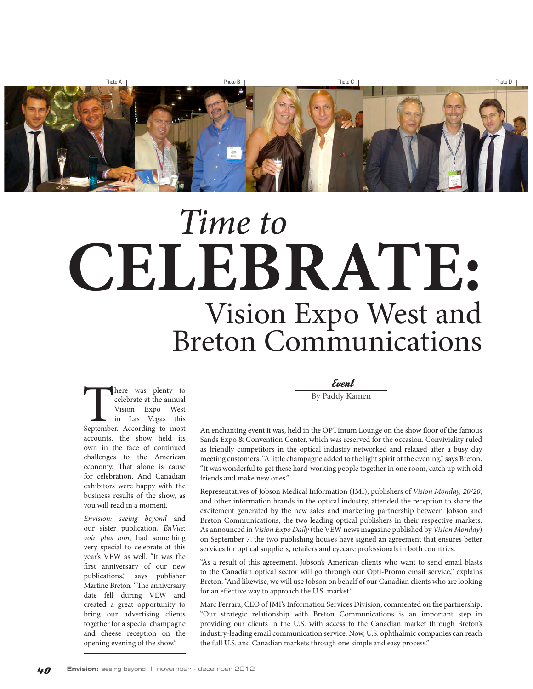

## Vision Expo West and Breton Communications **CELEBRATE:** Time to

There was plenty to celebrate at the annual Vision Expo West<br>
in Las Vegas this<br>
September. According to most celebrate at the annual Vision Expo West in Las Vegas this accounts, the show held its own in the face of continued challenges to the American economy. That alone is cause for celebration. And Canadian exhibitors were happy with the business results of the show, as you will read in a moment.

Envision: seeing beyond and our sister publication, EnVue: voir plus loin, had something very special to celebrate at this year's VEW as well. "It was the first anniversary of our new publications," says publisher Martine Breton. "The anniversary date fell during VEW and created a great opportunity to bring our advertising clients together for a special champagne and cheese reception on the opening evening of the show."

Event

By Paddy Kamen

An enchanting event it was, held in the OPTImum Lounge on the show floor of the famous Sands Expo & Convention Center, which was reserved for the occasion. Conviviality ruled as friendly competitors in the optical industry networked and relaxed after a busy day meeting customers. "A little champagne added to the light spirit of the evening," says Breton. "It was wonderful to get these hard-working people together in one room, catch up with old friends and make new ones."

Representatives of Jobson Medical Information (JMI), publishers of Vision Monday, 20/20, and other information brands in the optical industry, attended the reception to share the excitement generated by the new sales and marketing partnership between Jobson and Breton Communications, the two leading optical publishers in their respective markets. As announced in Vision Expo Daily (the VEW news magazine published by Vision Monday) on September 7, the two publishing houses have signed an agreement that ensures better services for optical suppliers, retailers and eyecare professionals in both countries.

"As a result of this agreement, Jobson's American clients who want to send email blasts to the Canadian optical sector will go through our Opti-Promo email service," explains Breton. "And likewise, we will use Jobson on behalf of our Canadian clients who are looking for an effective way to approach the U.S. market."

Marc Ferrara, CEO of JMI's Information Services Division, commented on the partnership: "Our strategic relationship with Breton Communications is an important step in providing our clients in the U.S. with access to the Canadian market through Breton's industry-leading email communication service. Now, U.S. ophthalmic companies can reach the full U.S. and Canadian markets through one simple and easy process."